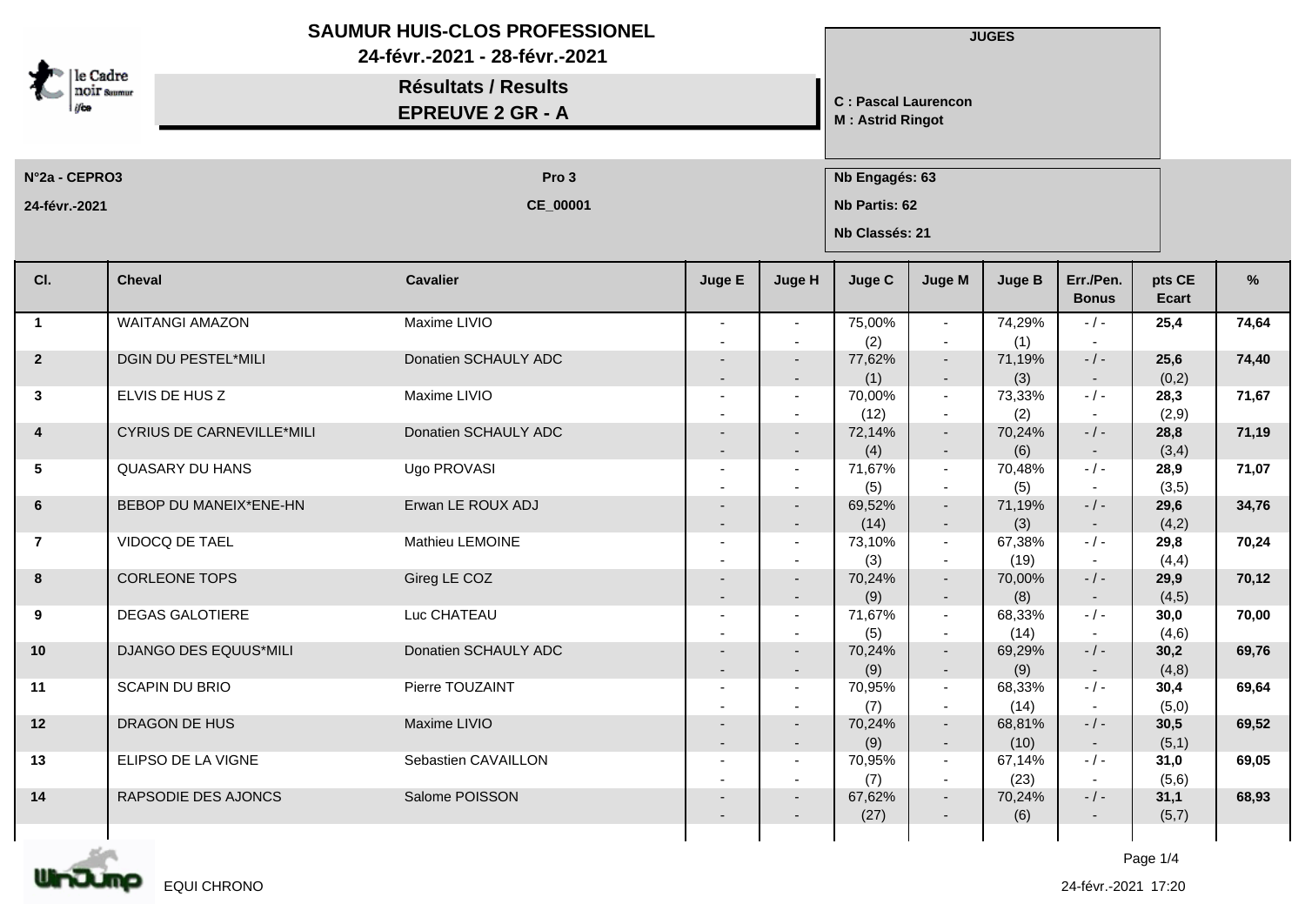|                                        | SAUMUR HUIS-CLOS PROFESSIONEL<br>24-févr.-2021 - 28-févr.-2021 |                                                       |        |                                    |                                                       | <b>JUGES</b>                       |                |                           |                 |       |  |
|----------------------------------------|----------------------------------------------------------------|-------------------------------------------------------|--------|------------------------------------|-------------------------------------------------------|------------------------------------|----------------|---------------------------|-----------------|-------|--|
| le Cadre<br><b>noir</b> saumur<br>ilia |                                                                | <b>Résultats / Results</b><br><b>EPREUVE 2 GR - A</b> |        |                                    | <b>C: Pascal Laurencon</b><br><b>M: Astrid Ringot</b> |                                    |                |                           |                 |       |  |
| N°2a - CEPRO3                          |                                                                | Pro 3                                                 |        |                                    | Nb Engagés: 63                                        |                                    |                |                           |                 |       |  |
| 24-févr.-2021                          |                                                                | CE_00001                                              |        |                                    | Nb Partis: 62<br>Nb Classés: 21                       |                                    |                |                           |                 |       |  |
| CI.                                    | <b>Cheval</b>                                                  | <b>Cavalier</b>                                       | Juge E | Juge H                             | Juge C                                                | <b>Juge M</b>                      | <b>Juge B</b>  | Err./Pen.<br><b>Bonus</b> | pts CE<br>Ecart | %     |  |
| $\mathbf{1}$                           | <b>WAITANGI AMAZON</b>                                         | Maxime LIVIO                                          |        |                                    | 75,00%                                                | $\sim$                             | 74,29%         | $-/-$                     | 25,4            | 74,64 |  |
|                                        | DGIN DU PESTEL*MILI                                            | Donatien SCHAULY ADC                                  |        |                                    | (2)                                                   | $\overline{\phantom{a}}$           | (1)            | $- / -$                   |                 | 74,40 |  |
| $\overline{2}$                         |                                                                |                                                       |        | $\overline{\phantom{a}}$           | 77,62%<br>(1)                                         | $\sim$<br>$\sim$                   | 71,19%<br>(3)  |                           | 25,6<br>(0,2)   |       |  |
| $\mathbf{3}$                           | ELVIS DE HUS Z                                                 | Maxime LIVIO                                          |        | $\overline{\phantom{a}}$           | 70,00%                                                | $\sim$                             | 73,33%         | $-/-$                     | 28,3            | 71,67 |  |
|                                        |                                                                |                                                       |        |                                    | (12)                                                  | $\sim$                             | (2)            |                           | (2,9)           |       |  |
| 4                                      | <b>CYRIUS DE CARNEVILLE*MILI</b>                               | Donatien SCHAULY ADC                                  |        | $\overline{\phantom{a}}$<br>$\sim$ | 72,14%<br>(4)                                         | $\sim$<br>$\sim$                   | 70,24%<br>(6)  | $-/-$                     | 28,8<br>(3,4)   | 71,19 |  |
| $5\phantom{.0}$                        | <b>QUASARY DU HANS</b>                                         | Ugo PROVASI                                           |        |                                    | 71,67%                                                | $\sim$                             | 70,48%         | $-/-$                     | 28,9            | 71,07 |  |
|                                        |                                                                |                                                       |        |                                    | (5)                                                   | $\overline{\phantom{a}}$           | (5)            |                           | (3,5)           |       |  |
| $6\phantom{.}$                         | BEBOP DU MANEIX*ENE-HN                                         | Erwan LE ROUX ADJ                                     |        | $\sim$                             | 69,52%                                                | $\sim$                             | 71,19%         | $-$ / $-$                 | 29,6            | 34,76 |  |
| $\overline{7}$                         | VIDOCQ DE TAEL                                                 | Mathieu LEMOINE                                       |        | $\sim$                             | (14)<br>73,10%                                        | $\sim$<br>$\sim$                   | (3)<br>67,38%  | $-/-$                     | (4,2)<br>29,8   | 70,24 |  |
|                                        |                                                                |                                                       |        |                                    | (3)                                                   | $\sim$                             | (19)           |                           | (4,4)           |       |  |
| 8                                      | <b>CORLEONE TOPS</b>                                           | Gireg LE COZ                                          |        | $\overline{\phantom{a}}$           | 70,24%                                                | $\sim$                             | 70,00%         | $-/-$                     | 29,9            | 70,12 |  |
|                                        |                                                                |                                                       |        | $\sim$                             | (9)                                                   | $\sim$                             | (8)            | $\sim$                    | (4,5)           |       |  |
| 9                                      | <b>DEGAS GALOTIERE</b>                                         | Luc CHATEAU                                           |        |                                    | 71,67%                                                | $\sim$                             | 68,33%         | $-/-$                     | 30,0            | 70,00 |  |
| 10                                     | DJANGO DES EQUUS*MILI                                          | Donatien SCHAULY ADC                                  |        |                                    | (5)<br>70,24%                                         | $\sim$<br>$\overline{\phantom{a}}$ | (14)<br>69,29% | $\sim$<br>$-/-$           | (4,6)<br>30,2   | 69,76 |  |
|                                        |                                                                |                                                       |        | $\sim$                             | (9)                                                   | $\sim$                             | (9)            |                           | (4, 8)          |       |  |
| 11                                     | <b>SCAPIN DU BRIO</b>                                          | Pierre TOUZAINT                                       |        |                                    | 70,95%                                                | $\overline{\phantom{a}}$           | 68,33%         | - / -                     | 30,4            | 69,64 |  |
|                                        |                                                                |                                                       |        |                                    | (7)                                                   |                                    | (14)           |                           | (5,0)           |       |  |
| 12                                     | DRAGON DE HUS                                                  | Maxime LIVIO                                          |        | $\overline{\phantom{a}}$           | 70,24%                                                | $\overline{\phantom{a}}$           | 68,81%<br>(10) | $-/-$                     | 30,5<br>(5,1)   | 69,52 |  |
| 13                                     | ELIPSO DE LA VIGNE                                             | Sebastien CAVAILLON                                   |        | $\overline{\phantom{a}}$           | (9)<br>70,95%                                         | $\overline{\phantom{a}}$<br>$\sim$ | 67,14%         | $\sim$<br>$-$ / $-$       | 31,0            | 69,05 |  |
|                                        |                                                                |                                                       |        |                                    | (7)                                                   | $\sim$                             | (23)           |                           | (5,6)           |       |  |
| 14                                     | RAPSODIE DES AJONCS                                            | Salome POISSON                                        |        |                                    | 67,62%                                                | $\sim$                             | 70,24%         | $-$ / $-$                 | 31,1            | 68,93 |  |
|                                        |                                                                |                                                       |        |                                    | (27)                                                  | $\overline{\phantom{a}}$           | (6)            |                           | (5,7)           |       |  |
|                                        |                                                                |                                                       |        |                                    |                                                       |                                    |                |                           |                 |       |  |



Page 1/4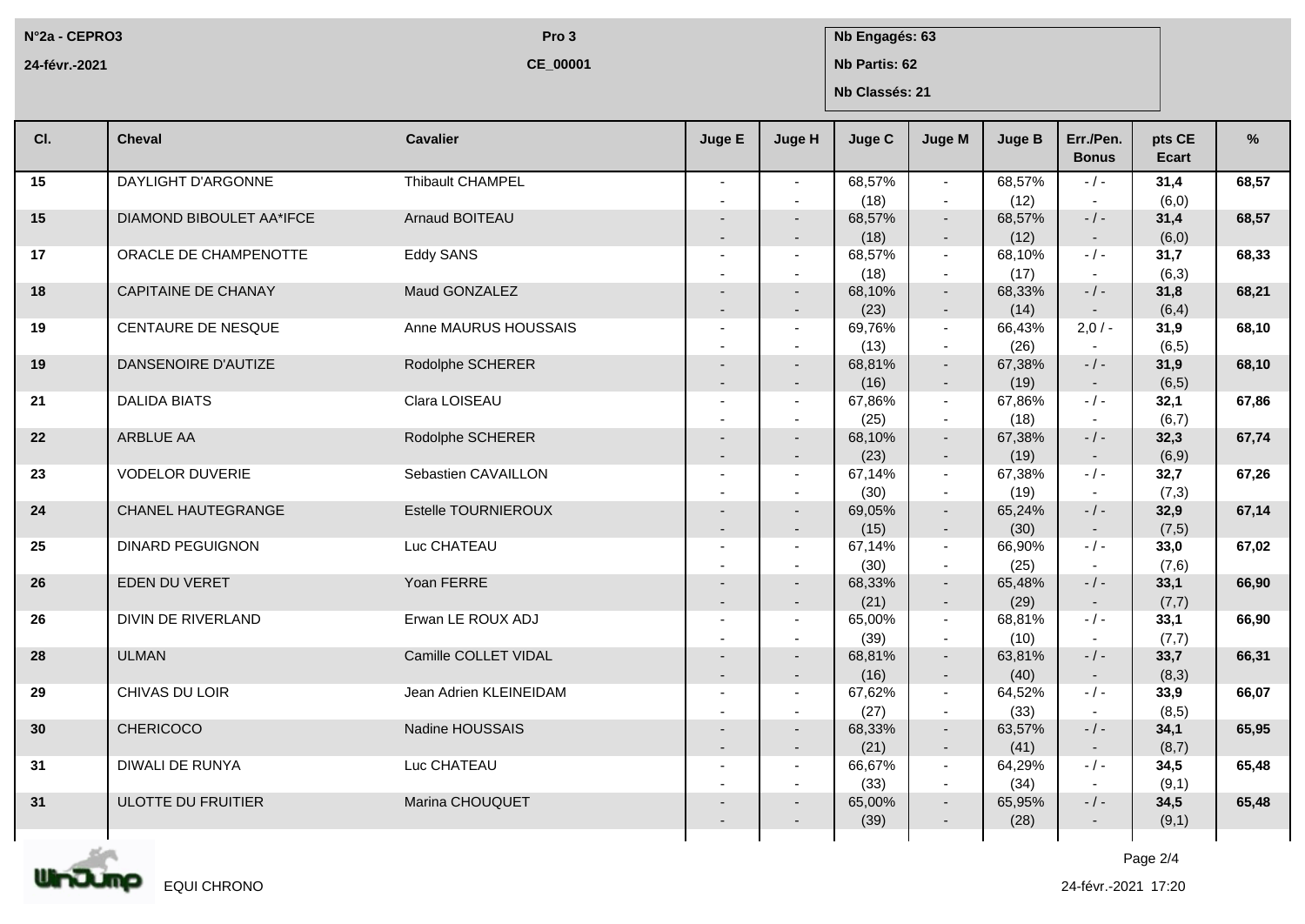**N°2a - CEPRO3**

**24-févr.-2021**

**CE\_00001**

**Pro 3 Nb Engagés: 63** 

**Nb Partis: 62**

**Nb Classés: 21**

| CI. | <b>Cheval</b>              | <b>Cavalier</b>        | Juge E                   | Juge H                             | <b>Juge C</b>  | <b>Juge M</b>            | <b>Juge B</b>  | Err./Pen.<br><b>Bonus</b> | pts CE<br>Ecart | %     |
|-----|----------------------------|------------------------|--------------------------|------------------------------------|----------------|--------------------------|----------------|---------------------------|-----------------|-------|
| 15  | DAYLIGHT D'ARGONNE         | Thibault CHAMPEL       |                          | $\sim$                             | 68,57%         | $\sim$                   | 68,57%         | $-$ / $-$                 | 31,4            | 68,57 |
|     |                            |                        |                          | $\overline{\phantom{a}}$           | (18)           | $\overline{\phantom{a}}$ | (12)           |                           | (6, 0)          |       |
| 15  | DIAMOND BIBOULET AA*IFCE   | Arnaud BOITEAU         |                          | $\sim$<br>$\overline{\phantom{a}}$ | 68,57%<br>(18) | $\sim$<br>$\sim$         | 68,57%<br>(12) | $-$ / $-$<br>$\sim$       | 31,4<br>(6, 0)  | 68,57 |
| 17  | ORACLE DE CHAMPENOTTE      | Eddy SANS              |                          |                                    | 68,57%         | $\sim$                   | 68,10%         | $-1-$                     | 31,7            | 68,33 |
|     |                            |                        |                          |                                    | (18)           | $\sim$                   | (17)           | $\sim$                    | (6,3)           |       |
| 18  | <b>CAPITAINE DE CHANAY</b> | Maud GONZALEZ          | $\overline{\phantom{0}}$ | $\overline{\phantom{a}}$           | 68,10%<br>(23) | $\sim$<br>$\sim$         | 68,33%<br>(14) | $-/-$<br>$\sim$           | 31,8<br>(6, 4)  | 68,21 |
| 19  | CENTAURE DE NESQUE         | Anne MAURUS HOUSSAIS   |                          | $\overline{\phantom{a}}$           | 69,76%         | $\sim$                   | 66,43%         | $2,0/-$                   | 31,9            | 68,10 |
|     |                            |                        |                          |                                    | (13)           | $\sim$                   | (26)           |                           | (6, 5)          |       |
| 19  | DANSENOIRE D'AUTIZE        | Rodolphe SCHERER       |                          | $\sim$                             | 68,81%         | $\sim$                   | 67,38%         | $-$ / $-$                 | 31,9            | 68,10 |
|     |                            |                        |                          | $\overline{\phantom{a}}$           | (16)           | $\sim$                   | (19)           | $\sim$                    | (6, 5)          |       |
| 21  | <b>DALIDA BIATS</b>        | Clara LOISEAU          |                          |                                    | 67,86%         | $\sim$                   | 67,86%         | $-/-$                     | 32,1            | 67,86 |
|     |                            |                        |                          |                                    | (25)           | $\sim$                   | (18)           | $\sim$                    | (6,7)           |       |
| 22  | ARBLUE AA                  | Rodolphe SCHERER       |                          |                                    | 68,10%         | $\sim$                   | 67,38%         | $-$ / $-$                 | 32,3            | 67,74 |
|     |                            |                        |                          | $\overline{\phantom{a}}$           | (23)           | $\sim$                   | (19)           | $\sim$                    | (6,9)           |       |
| 23  | <b>VODELOR DUVERIE</b>     | Sebastien CAVAILLON    |                          | $\overline{\phantom{a}}$           | 67,14%         | $\sim$                   | 67,38%         | $-$ / $-$                 | 32,7            | 67,26 |
|     |                            |                        |                          |                                    | (30)           | $\sim$                   | (19)           |                           | (7,3)           |       |
| 24  | CHANEL HAUTEGRANGE         | Estelle TOURNIEROUX    |                          | $\sim$                             | 69,05%         | $\sim$                   | 65,24%         | $-$ / $-$                 | 32,9            | 67,14 |
|     |                            |                        |                          | $\overline{\phantom{a}}$           | (15)           | $\bullet$                | (30)           | $\sim$                    | (7, 5)          |       |
| 25  | <b>DINARD PEGUIGNON</b>    | Luc CHATEAU            |                          |                                    | 67,14%         | $\sim$                   | 66,90%         | $-$ / $-$                 | 33,0            | 67,02 |
|     |                            |                        |                          |                                    | (30)           | $\sim$                   | (25)           | $\sim$                    | (7,6)           |       |
| 26  | EDEN DU VERET              | Yoan FERRE             |                          |                                    | 68,33%         | $\sim$                   | 65,48%         | $-/-$                     | 33,1            | 66,90 |
|     |                            |                        | $\overline{\phantom{0}}$ | $\overline{\phantom{a}}$           | (21)           | $\sim$                   | (29)           | $\sim$                    | (7,7)           |       |
| 26  | DIVIN DE RIVERLAND         | Erwan LE ROUX ADJ      | $\blacksquare$           | $\sim$                             | 65,00%<br>(39) | $\sim$                   | 68,81%         | $-/-$                     | 33,1            | 66,90 |
| 28  | <b>ULMAN</b>               | Camille COLLET VIDAL   |                          | $\sim$                             | 68,81%         | $\sim$<br>$\sim$         | (10)<br>63,81% | $\sim$<br>$-$ / $-$       | (7,7)<br>33,7   | 66,31 |
|     |                            |                        | $\overline{\phantom{0}}$ | $\overline{\phantom{a}}$           | (16)           | $\sim$                   | (40)           | $\sim$                    | (8,3)           |       |
| 29  | CHIVAS DU LOIR             | Jean Adrien KLEINEIDAM |                          | $\overline{a}$                     | 67,62%         | $\sim$                   | 64,52%         | $-1-$                     | 33,9            | 66,07 |
|     |                            |                        |                          |                                    | (27)           | $\sim$                   | (33)           | $\sim$                    | (8, 5)          |       |
| 30  | <b>CHERICOCO</b>           | Nadine HOUSSAIS        |                          |                                    | 68,33%         | $\sim$                   | 63,57%         | $-$ / $-$                 | 34,1            | 65,95 |
|     |                            |                        | $\overline{\phantom{a}}$ | $\overline{\phantom{a}}$           | (21)           | $\sim$                   | (41)           | $\sim$                    | (8,7)           |       |
| 31  | DIWALI DE RUNYA            | Luc CHATEAU            | $\overline{\phantom{a}}$ | $\sim$                             | 66,67%         | $\sim$                   | 64,29%         | $-/-$                     | 34,5            | 65,48 |
|     |                            |                        |                          |                                    | (33)           | $\sim$                   | (34)           |                           | (9,1)           |       |
| 31  | ULOTTE DU FRUITIER         | Marina CHOUQUET        |                          |                                    | 65,00%         | $\overline{\phantom{a}}$ | 65,95%         | $-$ / $-$                 | 34,5            | 65,48 |
|     |                            |                        |                          |                                    | (39)           | $\sim$                   | (28)           | $\sim$                    | (9,1)           |       |
|     |                            |                        |                          |                                    |                |                          |                |                           |                 |       |

UInJump EQUI CHRONO

Page 2/4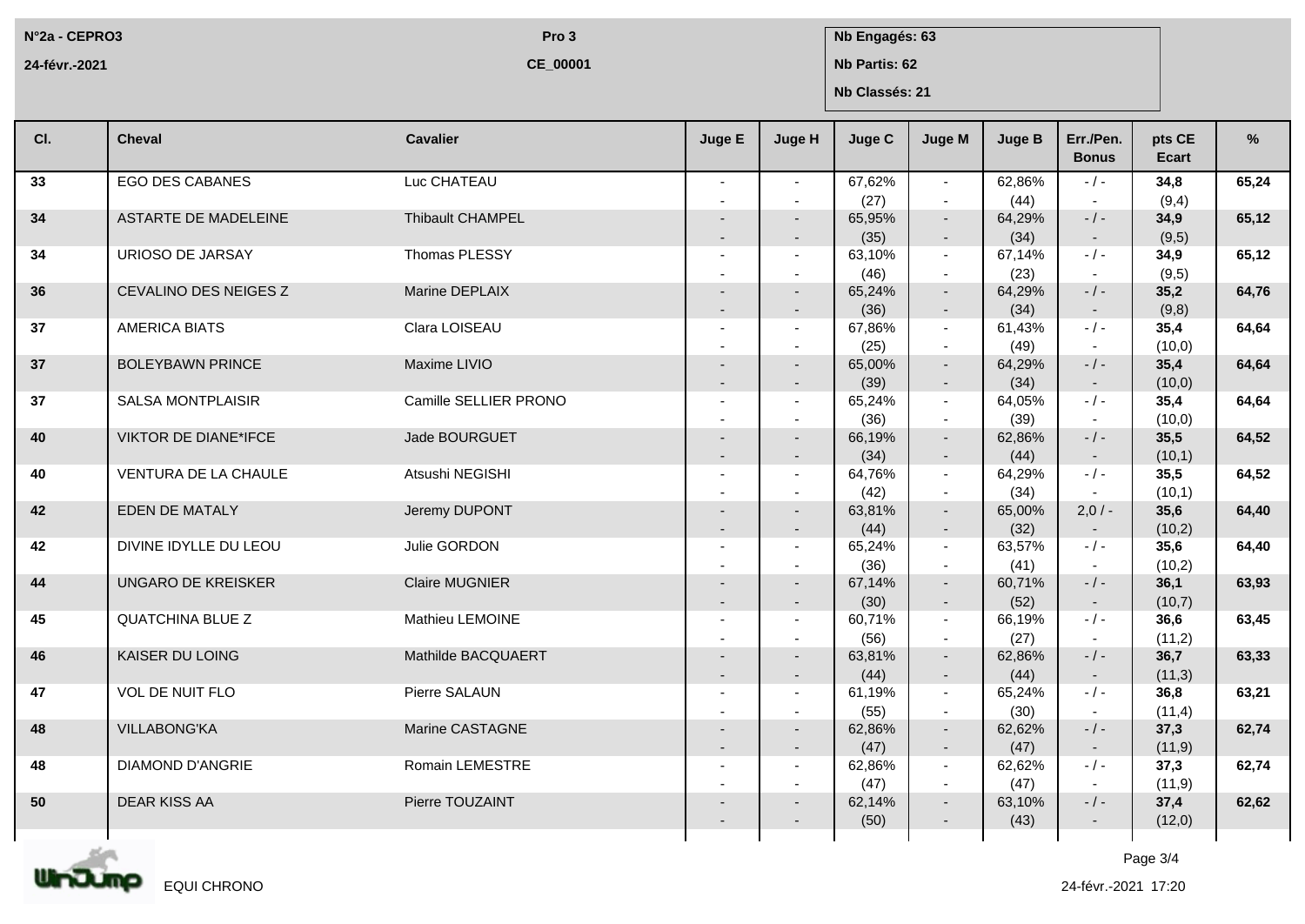**N°2a - CEPRO3**

**24-févr.-2021**

**CE\_00001**

**Pro 3 Nb Engagés: 63** 

**Nb Partis: 62**

**Nb Classés: 21**

| CI. | <b>Cheval</b>            | <b>Cavalier</b>       | Juge E                   | Juge H                                               | Juge C         | Juge M                     | <b>Juge B</b>          | Err./Pen.<br><b>Bonus</b>     | pts CE<br>Ecart | %     |
|-----|--------------------------|-----------------------|--------------------------|------------------------------------------------------|----------------|----------------------------|------------------------|-------------------------------|-----------------|-------|
| 33  | <b>EGO DES CABANES</b>   | Luc CHATEAU           | $\sim$                   | $\sim$<br>$\overline{\phantom{a}}$                   | 67,62%<br>(27) | $\sim$<br>$\sim$           | 62,86%<br>(44)         | $-$ / $-$                     | 34,8<br>(9,4)   | 65,24 |
| 34  | ASTARTE DE MADELEINE     | Thibault CHAMPEL      |                          | $\overline{a}$<br>$\overline{\phantom{a}}$           | 65,95%<br>(35) | $\sim$<br>$\sim$           | 64,29%<br>(34)         | $-$ / $-$<br>$\sim$           | 34,9<br>(9,5)   | 65,12 |
| 34  | URIOSO DE JARSAY         | Thomas PLESSY         |                          |                                                      | 63,10%<br>(46) | $\sim$<br>$\sim$           | 67,14%<br>(23)         | $-/-$<br>$\sim$               | 34,9<br>(9,5)   | 65,12 |
| 36  | CEVALINO DES NEIGES Z    | Marine DEPLAIX        | $\overline{\phantom{a}}$ | $\overline{\phantom{a}}$                             | 65,24%<br>(36) | $\sim$<br>$\sim$           | 64,29%<br>(34)         | $-$ / $-$<br>$\sim$           | 35,2<br>(9,8)   | 64,76 |
| 37  | <b>AMERICA BIATS</b>     | Clara LOISEAU         |                          |                                                      | 67,86%<br>(25) | $\sim$<br>$\sim$           | 61,43%<br>(49)         | $-/-$                         | 35,4<br>(10, 0) | 64,64 |
| 37  | <b>BOLEYBAWN PRINCE</b>  | Maxime LIVIO          |                          | $\overline{\phantom{a}}$<br>$\overline{\phantom{a}}$ | 65,00%<br>(39) | $\sim$<br>$\sim$           | 64,29%<br>(34)         | $-$ / $-$<br>$\sim$ $-$       | 35,4<br>(10,0)  | 64,64 |
| 37  | <b>SALSA MONTPLAISIR</b> | Camille SELLIER PRONO |                          | $\sim$                                               | 65,24%<br>(36) | $\sim$<br>$\sim$           | 64,05%<br>(39)         | $-/-$<br>$\sim$               | 35,4<br>(10, 0) | 64,64 |
| 40  | VIKTOR DE DIANE*IFCE     | Jade BOURGUET         |                          | $\overline{\phantom{a}}$<br>$\overline{\phantom{a}}$ | 66,19%<br>(34) | $\sim$<br>$\sim$           | 62,86%<br>(44)         | $-$ / $-$<br>$\sim$           | 35,5<br>(10,1)  | 64,52 |
| 40  | VENTURA DE LA CHAULE     | Atsushi NEGISHI       |                          | $\overline{\phantom{a}}$                             | 64,76%<br>(42) | $\sim$<br>$\sim$           | 64,29%<br>(34)         | $-/-$                         | 35,5<br>(10,1)  | 64,52 |
| 42  | EDEN DE MATALY           | Jeremy DUPONT         | $\overline{\phantom{0}}$ | $\overline{\phantom{a}}$                             | 63,81%<br>(44) | $\sim$<br>$\sim$           | 65,00%<br>(32)         | $2,0/-$<br>$\sim$ $-$         | 35,6<br>(10,2)  | 64,40 |
| 42  | DIVINE IDYLLE DU LEOU    | Julie GORDON          |                          |                                                      | 65,24%<br>(36) | $\sim$<br>$\sim$           | 63,57%<br>(41)         | $-$ / $-$<br>$\sim$           | 35,6<br>(10,2)  | 64,40 |
| 44  | UNGARO DE KREISKER       | Claire MUGNIER        | $\overline{a}$           | $\overline{\phantom{a}}$                             | 67,14%<br>(30) | $\sim$                     | 60,71%<br>(52)         | $-/-$                         | 36,1<br>(10,7)  | 63,93 |
| 45  | <b>QUATCHINA BLUE Z</b>  | Mathieu LEMOINE       |                          | $\sim$                                               | 60,71%<br>(56) | $\sim$<br>$\sim$<br>$\sim$ | 66,19%                 | $\sim$<br>$-$ / $-$<br>$\sim$ | 36,6<br>(11,2)  | 63,45 |
| 46  | KAISER DU LOING          | Mathilde BACQUAERT    |                          | $\sim$                                               | 63,81%<br>(44) | $\sim$                     | (27)<br>62,86%<br>(44) | $-$ / $-$                     | 36,7<br>(11,3)  | 63,33 |
| 47  | VOL DE NUIT FLO          | Pierre SALAUN         | $\overline{\phantom{a}}$ | $\overline{\phantom{a}}$<br>$\overline{a}$           | 61,19%<br>(55) | $\sim$<br>$\sim$<br>$\sim$ | 65,24%<br>(30)         | $\sim$ $-$<br>$-/-$<br>$\sim$ | 36,8<br>(11,4)  | 63,21 |
| 48  | <b>VILLABONG'KA</b>      | Marine CASTAGNE       | $\overline{\phantom{a}}$ |                                                      | 62,86%<br>(47) | $\sim$                     | 62,62%<br>(47)         | $-/-$                         | 37,3<br>(11, 9) | 62,74 |
| 48  | <b>DIAMOND D'ANGRIE</b>  | Romain LEMESTRE       |                          | $\overline{\phantom{a}}$                             | 62,86%         | $\sim$<br>$\sim$           | 62,62%                 | $\sim$<br>$-/-$               | 37,3            | 62,74 |
| 50  | <b>DEAR KISS AA</b>      | Pierre TOUZAINT       |                          |                                                      | (47)<br>62,14% | $\sim$<br>$\sim$           | (47)<br>63,10%         | $-$ / $-$                     | (11, 9)<br>37,4 | 62,62 |
|     |                          |                       |                          |                                                      | (50)           | $\sim$                     | (43)                   | $\sim$                        | (12,0)          |       |



Page 3/4